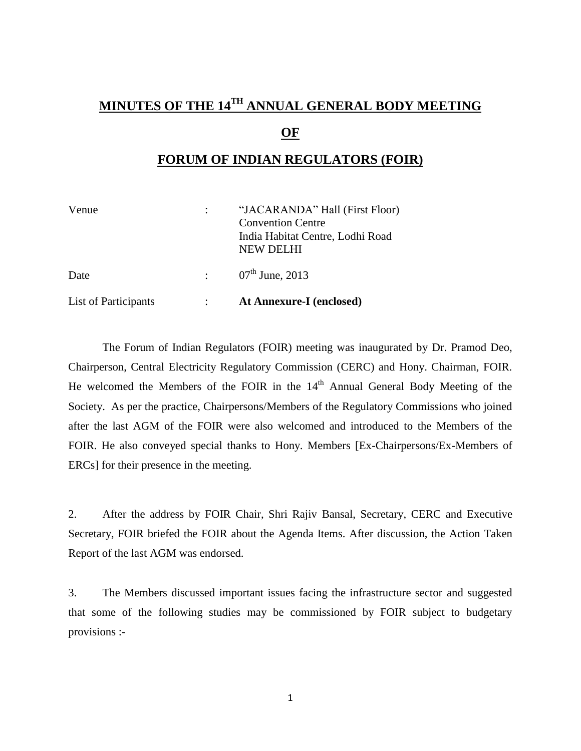# **MINUTES OF THE 14 TH ANNUAL GENERAL BODY MEETING**

### **OF**

### **FORUM OF INDIAN REGULATORS (FOIR)**

| Venue                | "JACARANDA" Hall (First Floor)<br><b>Convention Centre</b><br>India Habitat Centre, Lodhi Road<br>NEW DELHI |
|----------------------|-------------------------------------------------------------------------------------------------------------|
| Date                 | : $07^{\text{th}}$ June, 2013                                                                               |
| List of Participants | At Annexure-I (enclosed)                                                                                    |

The Forum of Indian Regulators (FOIR) meeting was inaugurated by Dr. Pramod Deo, Chairperson, Central Electricity Regulatory Commission (CERC) and Hony. Chairman, FOIR. He welcomed the Members of the FOIR in the  $14<sup>th</sup>$  Annual General Body Meeting of the Society. As per the practice, Chairpersons/Members of the Regulatory Commissions who joined after the last AGM of the FOIR were also welcomed and introduced to the Members of the FOIR. He also conveyed special thanks to Hony. Members [Ex-Chairpersons/Ex-Members of ERCs] for their presence in the meeting.

2. After the address by FOIR Chair, Shri Rajiv Bansal, Secretary, CERC and Executive Secretary, FOIR briefed the FOIR about the Agenda Items. After discussion, the Action Taken Report of the last AGM was endorsed.

3. The Members discussed important issues facing the infrastructure sector and suggested that some of the following studies may be commissioned by FOIR subject to budgetary provisions :-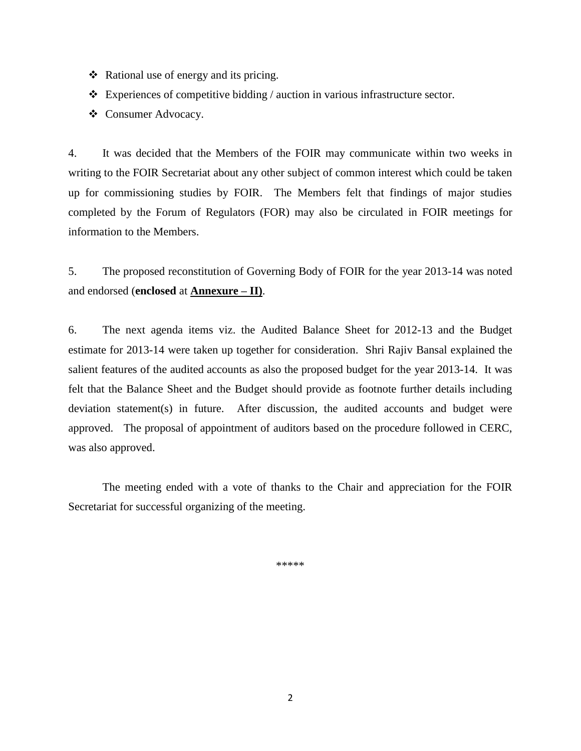- $\triangleleft$  Rational use of energy and its pricing.
- $\triangle$  Experiences of competitive bidding / auction in various infrastructure sector.
- Consumer Advocacy.

4. It was decided that the Members of the FOIR may communicate within two weeks in writing to the FOIR Secretariat about any other subject of common interest which could be taken up for commissioning studies by FOIR. The Members felt that findings of major studies completed by the Forum of Regulators (FOR) may also be circulated in FOIR meetings for information to the Members.

5. The proposed reconstitution of Governing Body of FOIR for the year 2013-14 was noted and endorsed (**enclosed** at **Annexure – II)**.

6. The next agenda items viz. the Audited Balance Sheet for 2012-13 and the Budget estimate for 2013-14 were taken up together for consideration. Shri Rajiv Bansal explained the salient features of the audited accounts as also the proposed budget for the year 2013-14. It was felt that the Balance Sheet and the Budget should provide as footnote further details including deviation statement(s) in future. After discussion, the audited accounts and budget were approved. The proposal of appointment of auditors based on the procedure followed in CERC, was also approved.

The meeting ended with a vote of thanks to the Chair and appreciation for the FOIR Secretariat for successful organizing of the meeting.

\*\*\*\*\*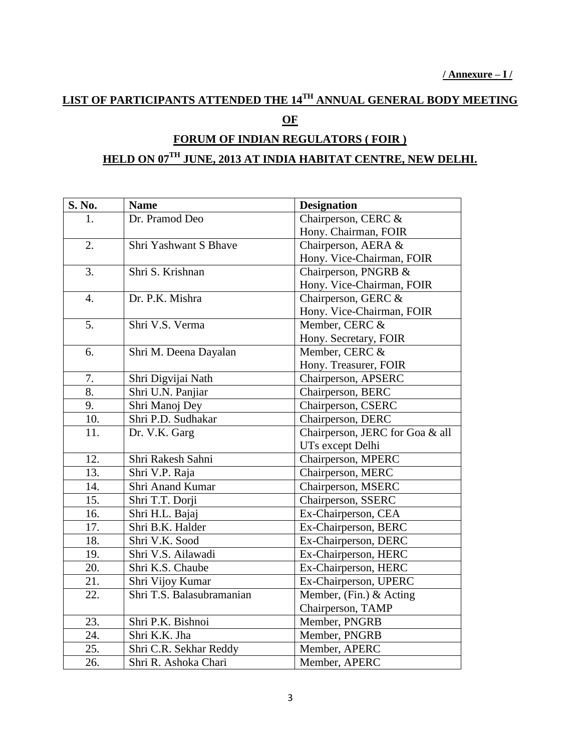## **LIST OF PARTICIPANTS ATTENDED THE 14 TH ANNUAL GENERAL BODY MEETING OF**

## **FORUM OF INDIAN REGULATORS ( FOIR ) HELD ON 07 TH JUNE, 2013 AT INDIA HABITAT CENTRE, NEW DELHI.**

| S. No.           | <b>Name</b>               | <b>Designation</b>              |  |
|------------------|---------------------------|---------------------------------|--|
| 1.               | Dr. Pramod Deo            | Chairperson, CERC &             |  |
|                  |                           | Hony. Chairman, FOIR            |  |
| 2.               | Shri Yashwant S Bhave     | Chairperson, AERA &             |  |
|                  |                           | Hony. Vice-Chairman, FOIR       |  |
| 3.               | Shri S. Krishnan          | Chairperson, PNGRB &            |  |
|                  |                           | Hony. Vice-Chairman, FOIR       |  |
| $\overline{4}$ . | Dr. P.K. Mishra           | Chairperson, GERC &             |  |
|                  |                           | Hony. Vice-Chairman, FOIR       |  |
| 5.               | Shri V.S. Verma           | Member, CERC &                  |  |
|                  |                           | Hony. Secretary, FOIR           |  |
| 6.               | Shri M. Deena Dayalan     | Member, CERC &                  |  |
|                  |                           | Hony. Treasurer, FOIR           |  |
| 7.               | Shri Digvijai Nath        | Chairperson, APSERC             |  |
| 8.               | Shri U.N. Panjiar         | Chairperson, BERC               |  |
| 9.               | Shri Manoj Dey            | Chairperson, CSERC              |  |
| 10.              | Shri P.D. Sudhakar        | Chairperson, DERC               |  |
| 11.              | Dr. V.K. Garg             | Chairperson, JERC for Goa & all |  |
|                  |                           | UTs except Delhi                |  |
| 12.              | Shri Rakesh Sahni         | Chairperson, MPERC              |  |
| 13.              | Shri V.P. Raja            | Chairperson, MERC               |  |
| 14.              | Shri Anand Kumar          | Chairperson, MSERC              |  |
| 15.              | Shri T.T. Dorji           | Chairperson, SSERC              |  |
| 16.              | Shri H.L. Bajaj           | Ex-Chairperson, CEA             |  |
| 17.              | Shri B.K. Halder          | Ex-Chairperson, BERC            |  |
| 18.              | Shri V.K. Sood            | Ex-Chairperson, DERC            |  |
| 19.              | Shri V.S. Ailawadi        | Ex-Chairperson, HERC            |  |
| 20.              | Shri K.S. Chaube          | Ex-Chairperson, HERC            |  |
| 21.              | Shri Vijoy Kumar          | Ex-Chairperson, UPERC           |  |
| 22.              | Shri T.S. Balasubramanian | Member, (Fin.) & Acting         |  |
|                  |                           | Chairperson, TAMP               |  |
| 23.              | Shri P.K. Bishnoi         | Member, PNGRB                   |  |
| 24.              | Shri K.K. Jha             | Member, PNGRB                   |  |
| 25.              | Shri C.R. Sekhar Reddy    | Member, APERC                   |  |
| 26.              | Shri R. Ashoka Chari      | Member, APERC                   |  |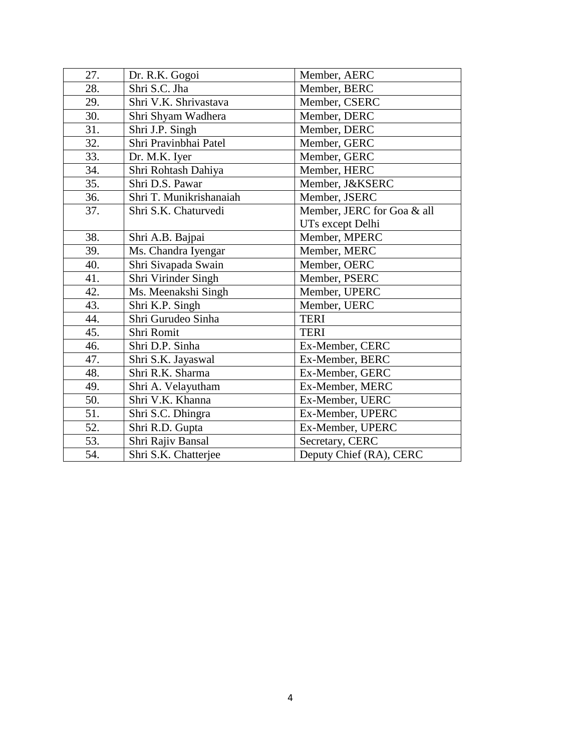| 27. | Dr. R.K. Gogoi                    | Member, AERC               |  |
|-----|-----------------------------------|----------------------------|--|
| 28. | Shri S.C. Jha                     | Member, BERC               |  |
| 29. | Shri V.K. Shrivastava             | Member, CSERC              |  |
| 30. | Shri Shyam Wadhera                | Member, DERC               |  |
| 31. | Shri J.P. Singh                   | Member, DERC               |  |
| 32. | Shri Pravinbhai Patel             | Member, GERC               |  |
| 33. | Dr. M.K. Iyer                     | Member, GERC               |  |
| 34. | Shri Rohtash Dahiya               | Member, HERC               |  |
| 35. | Shri D.S. Pawar                   | Member, J&KSERC            |  |
| 36. | Shri T. Munikrishanaiah           | Member, JSERC              |  |
| 37. | Shri S.K. Chaturvedi              | Member, JERC for Goa & all |  |
|     |                                   | UTs except Delhi           |  |
| 38. | Shri A.B. Bajpai                  | Member, MPERC              |  |
| 39. | Ms. Chandra Iyengar               | Member, MERC               |  |
| 40. | Shri Sivapada Swain               | Member, OERC               |  |
| 41. | Shri Virinder Singh               | Member, PSERC              |  |
| 42. | Ms. Meenakshi Singh               | Member, UPERC              |  |
| 43. | Shri K.P. Singh                   | Member, UERC               |  |
| 44. | Shri Gurudeo Sinha<br><b>TERI</b> |                            |  |
| 45. | Shri Romit                        | <b>TERI</b>                |  |
| 46. | Shri D.P. Sinha                   | Ex-Member, CERC            |  |
| 47. | Shri S.K. Jayaswal                | Ex-Member, BERC            |  |
| 48. | Shri R.K. Sharma                  | Ex-Member, GERC            |  |
| 49. | Shri A. Velayutham                | Ex-Member, MERC            |  |
| 50. | Shri V.K. Khanna                  | Ex-Member, UERC            |  |
| 51. | Shri S.C. Dhingra                 | Ex-Member, UPERC           |  |
| 52. | Shri R.D. Gupta                   | Ex-Member, UPERC           |  |
| 53. | Shri Rajiv Bansal                 | Secretary, CERC            |  |
| 54. | Shri S.K. Chatterjee              | Deputy Chief (RA), CERC    |  |